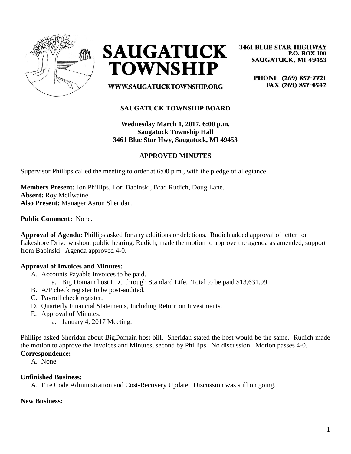



**3461 BLUE STAR HIGHWAY P.O. BOX 100 SAUGATUCK, MI 49453** 

> PHONE (269) 857-7721 FAX (269) 857-4542

**WWW.SAUGATUCKTOWNSHIP.ORG** 

# **SAUGATUCK TOWNSHIP BOARD**

**Wednesday March 1, 2017, 6:00 p.m. Saugatuck Township Hall 3461 Blue Star Hwy, Saugatuck, MI 49453**

# **APPROVED MINUTES**

Supervisor Phillips called the meeting to order at 6:00 p.m., with the pledge of allegiance.

**Members Present:** Jon Phillips, Lori Babinski, Brad Rudich, Doug Lane. **Absent:** Roy McIlwaine. **Also Present:** Manager Aaron Sheridan.

**Public Comment:** None.

**Approval of Agenda:** Phillips asked for any additions or deletions. Rudich added approval of letter for Lakeshore Drive washout public hearing. Rudich, made the motion to approve the agenda as amended, support from Babinski. Agenda approved 4-0.

### **Approval of Invoices and Minutes:**

- A. Accounts Payable Invoices to be paid.
	- a. Big Domain host LLC through Standard Life. Total to be paid \$13,631.99.
- B. A/P check register to be post-audited.
- C. Payroll check register.
- D. Quarterly Financial Statements, Including Return on Investments.
- E. Approval of Minutes.
	- a. January 4, 2017 Meeting.

Phillips asked Sheridan about BigDomain host bill. Sheridan stated the host would be the same. Rudich made the motion to approve the Invoices and Minutes, second by Phillips. No discussion. Motion passes 4-0. **Correspondence:** 

A. None.

#### **Unfinished Business:**

A. Fire Code Administration and Cost-Recovery Update. Discussion was still on going.

#### **New Business:**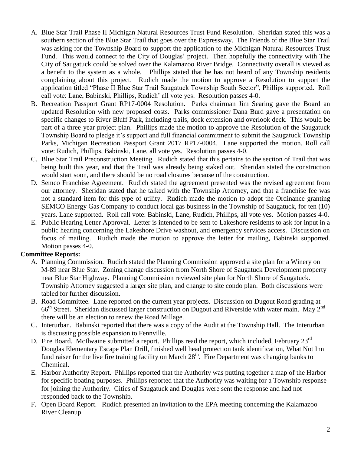- A. Blue Star Trail Phase II Michigan Natural Resources Trust Fund Resolution. Sheridan stated this was a southern section of the Blue Star Trail that goes over the Expressway. The Friends of the Blue Star Trail was asking for the Township Board to support the application to the Michigan Natural Resources Trust Fund. This would connect to the City of Douglas' project. Then hopefully the connectivity with The City of Saugatuck could be solved over the Kalamazoo River Bridge. Connectivity overall is viewed as a benefit to the system as a whole. Phillips stated that he has not heard of any Township residents complaining about this project. Rudich made the motion to approve a Resolution to support the application titled "Phase II Blue Star Trail Saugatuck Township South Sector", Phillips supported. Roll call vote: Lane, Babinski, Phillips, Rudich' all vote yes. Resolution passes 4-0.
- B. Recreation Passport Grant RP17-0004 Resolution. Parks chairman Jim Searing gave the Board an updated Resolution with new proposed costs. Parks commissioner Dana Burd gave a presentation on specific changes to River Bluff Park, including trails, dock extension and overlook deck. This would be part of a three year project plan. Phillips made the motion to approve the Resolution of the Saugatuck Township Board to pledge it's support and full financial commitment to submit the Saugatuck Township Parks, Michigan Recreation Passport Grant 2017 RP17-0004. Lane supported the motion. Roll call vote: Rudich, Phillips, Babinski, Lane, all vote yes. Resolution passes 4-0.
- C. Blue Star Trail Preconstruction Meeting. Rudich stated that this pertains to the section of Trail that was being built this year, and that the Trail was already being staked out. Sheridan stated the construction would start soon, and there should be no road closures because of the construction.
- D. Semco Franchise Agreement. Rudich stated the agreement presented was the revised agreement from our attorney. Sheridan stated that he talked with the Township Attorney, and that a franchise fee was not a standard item for this type of utility. Rudich made the motion to adopt the Ordinance granting SEMCO Energy Gas Company to conduct local gas business in the Township of Saugatuck, for ten (10) years. Lane supported. Roll call vote: Babinski, Lane, Rudich, Phillips, all vote yes. Motion passes 4-0.
- E. Public Hearing Letter Approval. Letter is intended to be sent to Lakeshore residents to ask for input in a public hearing concerning the Lakeshore Drive washout, and emergency services access. Discussion on focus of mailing. Rudich made the motion to approve the letter for mailing, Babinski supported. Motion passes 4-0.

# **Committee Reports:**

- A. Planning Commission. Rudich stated the Planning Commission approved a site plan for a Winery on M-89 near Blue Star. Zoning change discussion from North Shore of Saugatuck Development property near Blue Star Highway. Planning Commission reviewed site plan for North Shore of Saugatuck. Township Attorney suggested a larger site plan, and change to site condo plan. Both discussions were tabled for further discussion.
- B. Road Committee. Lane reported on the current year projects. Discussion on Dugout Road grading at 66<sup>th</sup> Street. Sheridan discussed larger construction on Dugout and Riverside with water main. May 2<sup>nd</sup> there will be an election to renew the Road Millage.
- C. Interurban. Babinski reported that there was a copy of the Audit at the Township Hall. The Interurban is discussing possible expansion to Fennville.
- D. Fire Board. McIlwaine submitted a report. Phillips read the report, which included, February  $23^{\text{rd}}$ Douglas Elementary Escape Plan Drill, finished well head protection tank identification, What Not Inn fund raiser for the live fire training facility on March 28<sup>th</sup>. Fire Department was changing banks to Chemical.
- E. Harbor Authority Report. Phillips reported that the Authority was putting together a map of the Harbor for specific boating purposes. Phillips reported that the Authority was waiting for a Township response for joining the Authority. Cities of Saugatuck and Douglas were sent the response and had not responded back to the Township.
- F. Open Board Report. Rudich presented an invitation to the EPA meeting concerning the Kalamazoo River Cleanup.